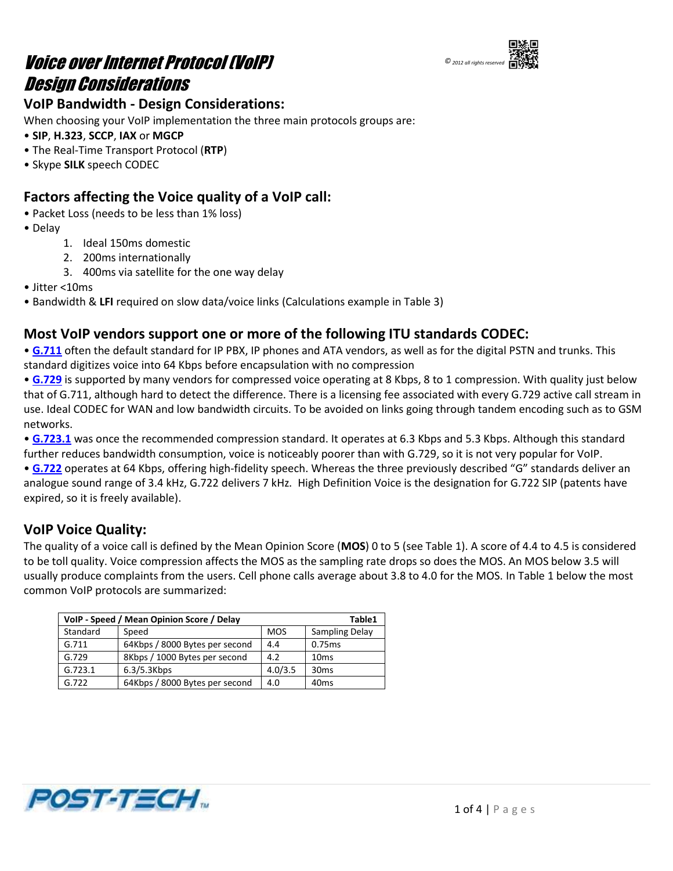



## **VoIP Bandwidth - Design Considerations:**

When choosing your VoIP implementation the three main protocols groups are:

- **SIP**, **H.323**, **SCCP**, **IAX** or **MGCP**
- The Real-Time Transport Protocol (**RTP**)
- Skype **SILK** speech CODEC

## **Factors affecting the Voice quality of a VoIP call:**

- Packet Loss (needs to be less than 1% loss)
- Delay
	- 1. Ideal 150ms domestic
	- 2. 200ms internationally
	- 3. 400ms via satellite for the one way delay
- Jitter <10ms
- Bandwidth & **LFI** required on slow data/voice links (Calculations example in Table 3)

## **Most VoIP vendors support one or more of the following ITU standards CODEC:**

• **[G.711](http://en.wikipedia.org/wiki/G.711)** often the default standard for IP PBX, IP phones and ATA vendors, as well as for the digital PSTN and trunks. This standard digitizes voice into 64 Kbps before encapsulation with no compression

• **[G.729](http://en.wikipedia.org/wiki/G.729)** is supported by many vendors for compressed voice operating at 8 Kbps, 8 to 1 compression. With quality just below that of G.711, although hard to detect the difference. There is a licensing fee associated with every G.729 active call stream in use. Ideal CODEC for WAN and low bandwidth circuits. To be avoided on links going through tandem encoding such as to GSM networks.

• [G.723.1](http://en.wikipedia.org/wiki/G.723.1) was once the recommended compression standard. It operates at 6.3 Kbps and 5.3 Kbps. Although this standard further reduces bandwidth consumption, voice is noticeably poorer than with G.729, so it is not very popular for VoIP.

• **[G.722](http://en.wikipedia.org/wiki/G.722)** operates at 64 Kbps, offering high-fidelity speech. Whereas the three previously described "G" standards deliver an analogue sound range of 3.4 kHz, G.722 delivers 7 kHz. High Definition Voice is the designation for G.722 SIP (patents have expired, so it is freely available).

### **VoIP Voice Quality:**

The quality of a voice call is defined by the Mean Opinion Score (**MOS**) 0 to 5 (see Table 1). A score of 4.4 to 4.5 is considered to be toll quality. Voice compression affects the MOS as the sampling rate drops so does the MOS. An MOS below 3.5 will usually produce complaints from the users. Cell phone calls average about 3.8 to 4.0 for the MOS. In Table 1 below the most common VoIP protocols are summarized:

| VoIP - Speed / Mean Opinion Score / Delay | Table1                         |            |                  |
|-------------------------------------------|--------------------------------|------------|------------------|
| Standard                                  | Speed                          | <b>MOS</b> | Sampling Delay   |
| G.711                                     | 64Kbps / 8000 Bytes per second | 4.4        | 0.75ms           |
| G.729                                     | 8Kbps / 1000 Bytes per second  | 4.2        | 10 <sub>ms</sub> |
| G.723.1                                   | 6.3/5.3Kbps                    | 4.0/3.5    | 30 <sub>ms</sub> |
| G.722                                     | 64Kbps / 8000 Bytes per second | 4.0        | 40 <sub>ms</sub> |

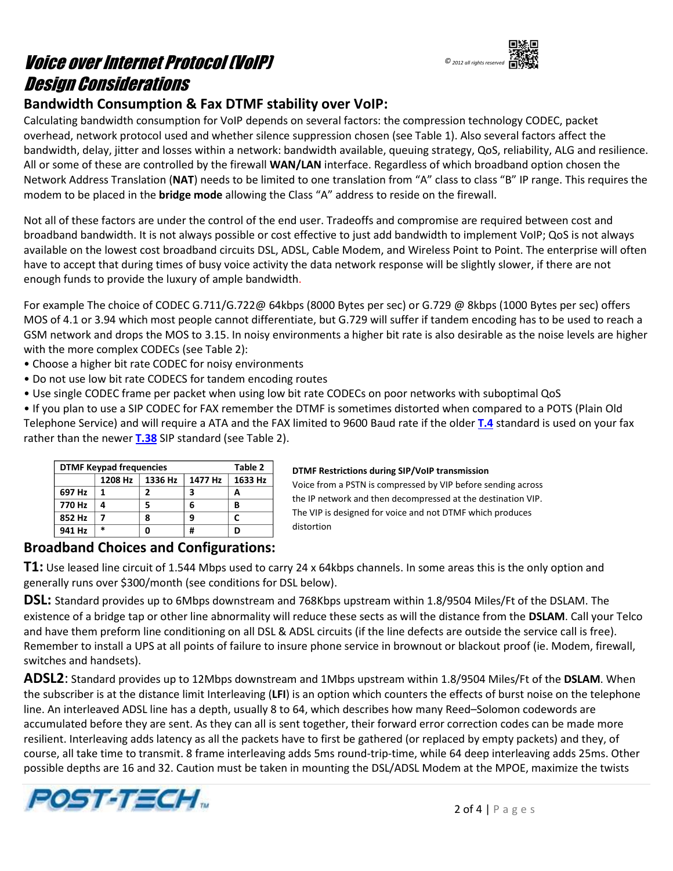# Voice over Internet Protocol (VoIP) Design Considerations



## **Bandwidth Consumption & Fax DTMF stability over VoIP:**

Calculating bandwidth consumption for VoIP depends on several factors: the compression technology CODEC, packet overhead, network protocol used and whether silence suppression chosen (see Table 1). Also several factors affect the bandwidth, delay, jitter and losses within a network: bandwidth available, queuing strategy, QoS, reliability, ALG and resilience. All or some of these are controlled by the firewall **WAN/LAN** interface. Regardless of which broadband option chosen the Network Address Translation (**NAT**) needs to be limited to one translation from "A" class to class "B" IP range. This requires the modem to be placed in the **bridge mode** allowing the Class "A" address to reside on the firewall.

Not all of these factors are under the control of the end user. Tradeoffs and compromise are required between cost and broadband bandwidth. It is not always possible or cost effective to just add bandwidth to implement VoIP; QoS is not always available on the lowest cost broadband circuits DSL, ADSL, Cable Modem, and Wireless Point to Point. The enterprise will often have to accept that during times of busy voice activity the data network response will be slightly slower, if there are not enough funds to provide the luxury of ample bandwidth.

For example The choice of CODEC G.711/G.722@ 64kbps (8000 Bytes per sec) or G.729 @ 8kbps (1000 Bytes per sec) offers MOS of 4.1 or 3.94 which most people cannot differentiate, but G.729 will suffer if tandem encoding has to be used to reach a GSM network and drops the MOS to 3.15. In noisy environments a higher bit rate is also desirable as the noise levels are higher with the more complex CODECs (see Table 2):

- Choose a higher bit rate CODEC for noisy environments
- Do not use low bit rate CODECS for tandem encoding routes
- Use single CODEC frame per packet when using low bit rate CODECs on poor networks with suboptimal QoS

• If you plan to use a SIP CODEC for FAX remember the DTMF is sometimes distorted when compared to a POTS (Plain Old Telephone Service) and will require a ATA and the FAX limited to 9600 Baud rate if the older **[T.4](http://en.wikipedia.org/wiki/T.4)** standard is used on your fax rather than the newer **[T.38](http://en.wikipedia.org/wiki/T.38)** SIP standard (see Table 2).

| <b>DTMF Keypad frequencies</b> | Table 2 |         |         |         |
|--------------------------------|---------|---------|---------|---------|
|                                | 1208 Hz | 1336 Hz | 1477 Hz | 1633 Hz |
| 697 Hz                         |         |         | з       | А       |
| 770 Hz                         |         | 5       |         | В       |
| 852 Hz                         |         | 8       |         |         |
| 941 Hz                         | $\ast$  |         | #       | D       |

#### **DTMF Restrictions during SIP/VoIP transmission**

Voice from a PSTN is compressed by VIP before sending across the IP network and then decompressed at the destination VIP. The VIP is designed for voice and not DTMF which produces distortion

### **Broadband Choices and Configurations:**

**T1:** Use leased line circuit of 1.544 Mbps used to carry 24 x 64kbps channels. In some areas this is the only option and generally runs over \$300/month (see conditions for DSL below).

**DSL:** Standard provides up to 6Mbps downstream and 768Kbps upstream within 1.8/9504 Miles/Ft of the DSLAM. The existence of a bridge tap or other line abnormality will reduce these sects as will the distance from the **DSLAM**. Call your Telco and have them preform line conditioning on all DSL & ADSL circuits (if the line defects are outside the service call is free). Remember to install a UPS at all points of failure to insure phone service in brownout or blackout proof (ie. Modem, firewall, switches and handsets).

**ADSL2**: Standard provides up to 12Mbps downstream and 1Mbps upstream within 1.8/9504 Miles/Ft of the **DSLAM**. When the subscriber is at the distance limit Interleaving (**LFI**) is an option which counters the effects of burst noise on the telephone line. An interleaved ADSL line has a depth, usually 8 to 64, which describes how many Reed–Solomon codewords are accumulated before they are sent. As they can all is sent together, their forward error correction codes can be made more resilient. Interleaving adds latency as all the packets have to first be gathered (or replaced by empty packets) and they, of course, all take time to transmit. 8 frame interleaving adds 5ms round-trip-time, while 64 deep interleaving adds 25ms. Other possible depths are 16 and 32. Caution must be taken in mounting the DSL/ADSL Modem at the MPOE, maximize the twists

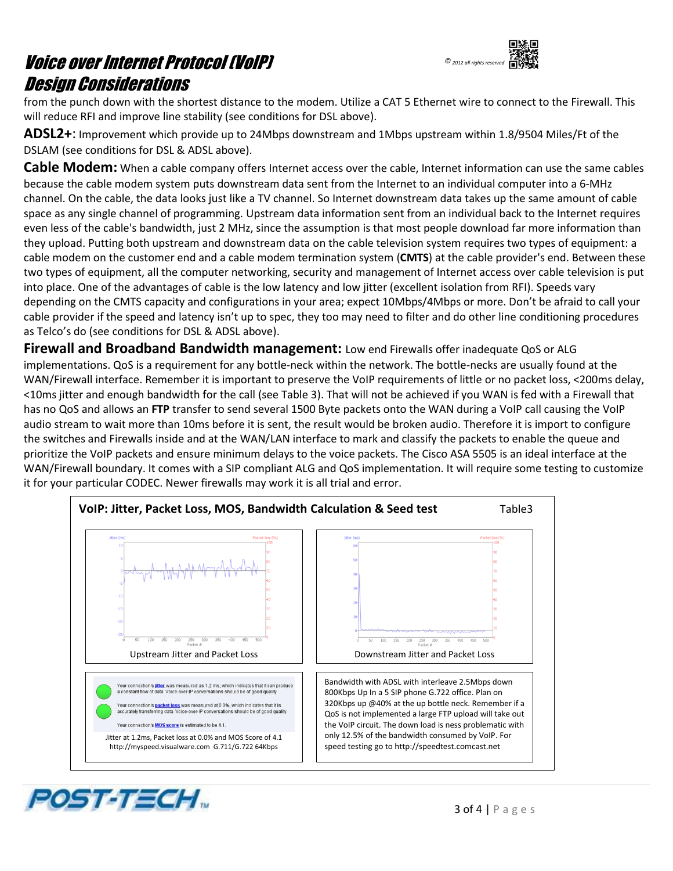## Voice over Internet Protocol (VoIP) Design Considerations



from the punch down with the shortest distance to the modem. Utilize a CAT 5 Ethernet wire to connect to the Firewall. This will reduce RFI and improve line stability (see conditions for DSL above).

**ADSL2+**: Improvement which provide up to 24Mbps downstream and 1Mbps upstream within 1.8/9504 Miles/Ft of the DSLAM (see conditions for DSL & ADSL above).

**Cable Modem:** When a cable company offers Internet access over the cable, Internet information can use the same cables because the cable modem system puts downstream data sent from the Internet to an individual computer into a 6-MHz channel. On the cable, the data looks just like a TV channel. So Internet downstream data takes up the same amount of cable space as any single channel of programming. Upstream data information sent from an individual back to the Internet requires even less of the cable's bandwidth, just 2 MHz, since the assumption is that most people download far more information than they upload. Putting both upstream and downstream data on the cable television system requires two types of equipment: a cable modem on the customer end and a cable modem termination system (**CMTS**) at the cable provider's end. Between these two types of equipment, all the computer networking, security and management of Internet access over cable television is put into place. One of the advantages of cable is the low latency and low jitter (excellent isolation from RFI). Speeds vary depending on the CMTS capacity and configurations in your area; expect 10Mbps/4Mbps or more. Don't be afraid to call your cable provider if the speed and latency isn't up to spec, they too may need to filter and do other line conditioning procedures as Telco's do (see conditions for DSL & ADSL above).

**Firewall and Broadband Bandwidth management:** Low end Firewalls offer inadequate QoS or ALG implementations. QoS is a requirement for any bottle-neck within the network. The bottle-necks are usually found at the WAN/Firewall interface. Remember it is important to preserve the VoIP requirements of little or no packet loss, <200ms delay, <10ms jitter and enough bandwidth for the call (see Table 3). That will not be achieved if you WAN is fed with a Firewall that has no QoS and allows an **FTP** transfer to send several 1500 Byte packets onto the WAN during a VoIP call causing the VoIP audio stream to wait more than 10ms before it is sent, the result would be broken audio. Therefore it is import to configure the switches and Firewalls inside and at the WAN/LAN interface to mark and classify the packets to enable the queue and prioritize the VoIP packets and ensure minimum delays to the voice packets. The Cisco ASA 5505 is an ideal interface at the WAN/Firewall boundary. It comes with a SIP compliant ALG and QoS implementation. It will require some testing to customize it for your particular CODEC. Newer firewalls may work it is all trial and error.